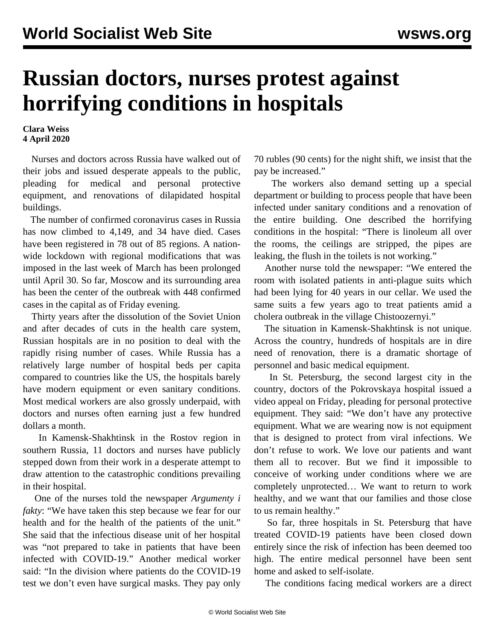## **Russian doctors, nurses protest against horrifying conditions in hospitals**

## **Clara Weiss 4 April 2020**

 Nurses and doctors across Russia have walked out of their jobs and issued desperate appeals to the public, pleading for medical and personal protective equipment, and renovations of dilapidated hospital buildings.

 The number of confirmed coronavirus cases in Russia has now climbed to 4,149, and 34 have died. Cases have been registered in 78 out of 85 regions. A nationwide lockdown with regional modifications that was imposed in the last week of March has been prolonged until April 30. So far, Moscow and its surrounding area has been the center of the outbreak with 448 confirmed cases in the capital as of Friday evening.

 Thirty years after the dissolution of the Soviet Union and after decades of cuts in the health care system, Russian hospitals are in no position to deal with the rapidly rising number of cases. While Russia has a relatively large number of hospital beds per capita compared to countries like the US, the hospitals barely have modern equipment or even sanitary conditions. Most medical workers are also grossly underpaid, with doctors and nurses often earning just a few hundred dollars a month.

 In Kamensk-Shakhtinsk in the Rostov region in southern Russia, 11 doctors and nurses have publicly stepped down from their work in a desperate attempt to draw attention to the catastrophic conditions prevailing in their hospital.

 One of the nurses told the newspaper *Argumenty i fakty*: "We have taken this step because we fear for our health and for the health of the patients of the unit." She said that the infectious disease unit of her hospital was "not prepared to take in patients that have been infected with COVID-19." Another medical worker said: "In the division where patients do the COVID-19 test we don't even have surgical masks. They pay only

70 rubles (90 cents) for the night shift, we insist that the pay be increased."

 The workers also demand setting up a special department or building to process people that have been infected under sanitary conditions and a renovation of the entire building. One described the horrifying conditions in the hospital: "There is linoleum all over the rooms, the ceilings are stripped, the pipes are leaking, the flush in the toilets is not working."

 Another nurse told the newspaper: "We entered the room with isolated patients in anti-plague suits which had been lying for 40 years in our cellar. We used the same suits a few years ago to treat patients amid a cholera outbreak in the village Chistoozernyi."

 The situation in Kamensk-Shakhtinsk is not unique. Across the country, hundreds of hospitals are in dire need of renovation, there is a dramatic shortage of personnel and basic medical equipment.

 In St. Petersburg, the second largest city in the country, doctors of the Pokrovskaya hospital issued a [video appeal](https://www.youtube.com/watch?time_continue=113&v=xnTFogBYHBo) on Friday, pleading for personal protective equipment. They said: "We don't have any protective equipment. What we are wearing now is not equipment that is designed to protect from viral infections. We don't refuse to work. We love our patients and want them all to recover. But we find it impossible to conceive of working under conditions where we are completely unprotected… We want to return to work healthy, and we want that our families and those close to us remain healthy."

 So far, three hospitals in St. Petersburg that have treated COVID-19 patients have been closed down entirely since the risk of infection has been deemed too high. The entire medical personnel have been sent home and asked to self-isolate.

The conditions facing medical workers are a direct